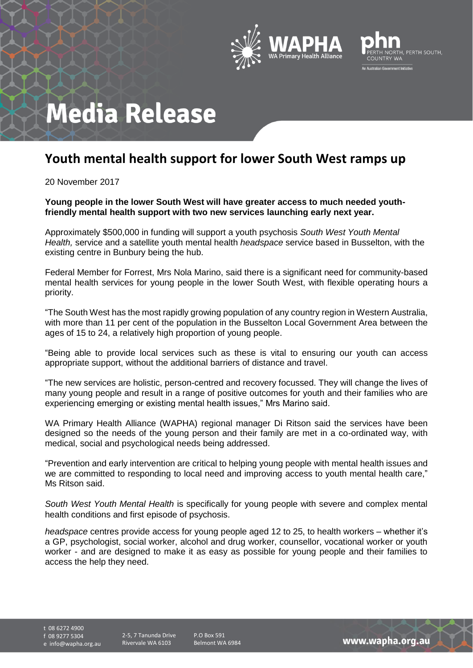



## **Media Release**

## **Youth mental health support for lower South West ramps up**

20 November 2017

**Young people in the lower South West will have greater access to much needed youthfriendly mental health support with two new services launching early next year.** 

Approximately \$500,000 in funding will support a youth psychosis *South West Youth Mental Health,* service and a satellite youth mental health *headspace* service based in Busselton, with the existing centre in Bunbury being the hub.

Federal Member for Forrest, Mrs Nola Marino, said there is a significant need for community-based mental health services for young people in the lower South West, with flexible operating hours a priority.

"The South West has the most rapidly growing population of any country region in Western Australia, with more than 11 per cent of the population in the Busselton Local Government Area between the ages of 15 to 24, a relatively high proportion of young people.

"Being able to provide local services such as these is vital to ensuring our youth can access appropriate support, without the additional barriers of distance and travel.

"The new services are holistic, person-centred and recovery focussed. They will change the lives of many young people and result in a range of positive outcomes for youth and their families who are experiencing emerging or existing mental health issues," Mrs Marino said.

WA Primary Health Alliance (WAPHA) regional manager Di Ritson said the services have been designed so the needs of the young person and their family are met in a co-ordinated way, with medical, social and psychological needs being addressed.

"Prevention and early intervention are critical to helping young people with mental health issues and we are committed to responding to local need and improving access to youth mental health care," Ms Ritson said.

*South West Youth Mental Health* is specifically for young people with severe and complex mental health conditions and first episode of psychosis.

*headspace* centres provide access for young people aged 12 to 25, to health workers – whether it's a GP, psychologist, social worker, alcohol and drug worker, counsellor, vocational worker or youth worker - and are designed to make it as easy as possible for young people and their families to access the help they need.

t 08 6272 4900 f 08 9277 5304

e info@wapha.org.au

2-5, 7 Tanunda Drive Rivervale WA 6103

P.O Box 591 Belmont WA 6984

www.wapha.org.au